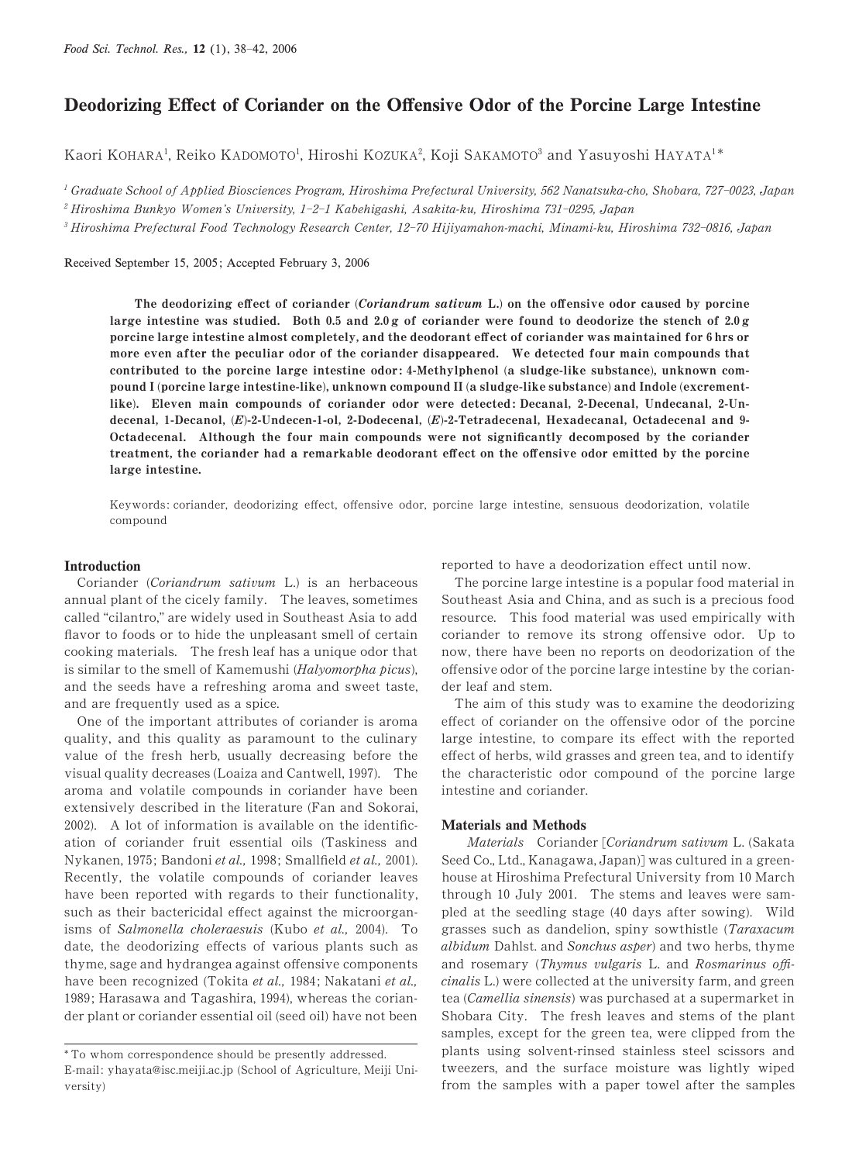# Deodorizing Effect of Coriander on the Offensive Odor of the Porcine Large Intestine

Kaori KOHARA<sup>1</sup>, Reiko KADOMOTO<sup>1</sup>, Hiroshi KOZUKA<sup>2</sup>, Koji SAKAMOTO<sup>3</sup> and Yasuyoshi HAYATA<sup>1\*</sup>

 $^1$  Graduate School of Applied Biosciences Program, Hiroshima Prefectural University, 562 Nanatsuka-cho, Shobara, 727-0023, Japan

 $^2$ Hiroshima Bunkyo Women's University, 1-2-1 Kabehigashi, Asakita-ku, Hiroshima 731-0295, Japan

 $^3$ Hiroshima Prefectural Food Technology Research Center, 12-70 Hijiyamahon-machi, Minami-ku, Hiroshima 732-0816, Japan

Received September 15, 2005; Accepted February 3, 2006

The deodorizing effect of coriander (Coriandrum sativum L.) on the offensive odor caused by porcine large intestine was studied. Both 0.5 and 2.0 g of coriander were found to deodorize the stench of  $2.0 g$ porcine large intestine almost completely, and the deodorant effect of coriander was maintained for 6 hrs or more even after the peculiar odor of the coriander disappeared. We detected four main compounds that contributed to the porcine large intestine odor: 4-Methylphenol (a sludge-like substance), unknown compound I (porcine large intestine-like), unknown compound II (a sludge-like substance) and Indole (excrementlike). Eleven main compounds of coriander odor were detected: Decanal, 2-Decenal, Undecanal, 2-Undecenal, 1-Decanol, (E)-2-Undecen-1-ol, 2-Dodecenal, (E)-2-Tetradecenal, Hexadecanal, Octadecenal and 9-Octadecenal. Although the four main compounds were not significantly decomposed by the coriander treatment, the coriander had a remarkable deodorant effect on the offensive odor emitted by the porcine large intestine.

Keywords: coriander, deodorizing effect, offensive odor, porcine large intestine, sensuous deodorization, volatile compound

## Introduction

Coriander (Coriandrum sativum L.) is an herbaceous annual plant of the cicely family. The leaves, sometimes called "cilantro," are widely used in Southeast Asia to add flavor to foods or to hide the unpleasant smell of certain cooking materials. The fresh leaf has a unique odor that is similar to the smell of Kamemushi (Halyomorpha picus), and the seeds have a refreshing aroma and sweet taste, and are frequently used as a spice.

One of the important attributes of coriander is aroma quality, and this quality as paramount to the culinary value of the fresh herb, usually decreasing before the visual quality decreases (Loaiza and Cantwell, 1997). The aroma and volatile compounds in coriander have been extensively described in the literature (Fan and Sokorai, 2002). A lot of information is available on the identification of coriander fruit essential oils (Taskiness and Nykanen, 1975; Bandoni et al., 1998; Smallfield et al., 2001). Recently, the volatile compounds of coriander leaves have been reported with regards to their functionality, such as their bactericidal effect against the microorganisms of Salmonella choleraesuis (Kubo et al., 2004). To date, the deodorizing effects of various plants such as thyme, sage and hydrangea against offensive components have been recognized (Tokita et al., 1984; Nakatani et al., 1989; Harasawa and Tagashira, 1994), whereas the coriander plant or coriander essential oil (seed oil) have not been

reported to have a deodorization effect until now.

The porcine large intestine is a popular food material in Southeast Asia and China, and as such is a precious food resource. This food material was used empirically with coriander to remove its strong offensive odor. Up to now, there have been no reports on deodorization of the offensive odor of the porcine large intestine by the coriander leaf and stem.

The aim of this study was to examine the deodorizing effect of coriander on the offensive odor of the porcine large intestine, to compare its effect with the reported effect of herbs, wild grasses and green tea, and to identify the characteristic odor compound of the porcine large intestine and coriander.

#### Materials and Methods

Materials Coriander [Coriandrum sativum L. (Sakata Seed Co., Ltd., Kanagawa, Japan)] was cultured in a greenhouse at Hiroshima Prefectural University from 10 March through 10 July 2001. The stems and leaves were sampled at the seedling stage  $(40 \text{ days after sowing}).$  Wild grasses such as dandelion, spiny sowthistle (Taraxacum albidum Dahlst. and Sonchus asper) and two herbs, thyme and rosemary (Thymus vulgaris L. and Rosmarinus officinalis L.) were collected at the university farm, and green tea (Camellia sinensis) was purchased at a supermarket in Shobara City. The fresh leaves and stems of the plant samples, except for the green tea, were clipped from the plants using solvent-rinsed stainless steel scissors and tweezers, and the surface moisture was lightly wiped from the samples with a paper towel after the samples

<sup>\*</sup> To whom correspondence should be presently addressed. E-mail : yhayata@isc.meiji.ac.jp (School of Agriculture, Meiji University)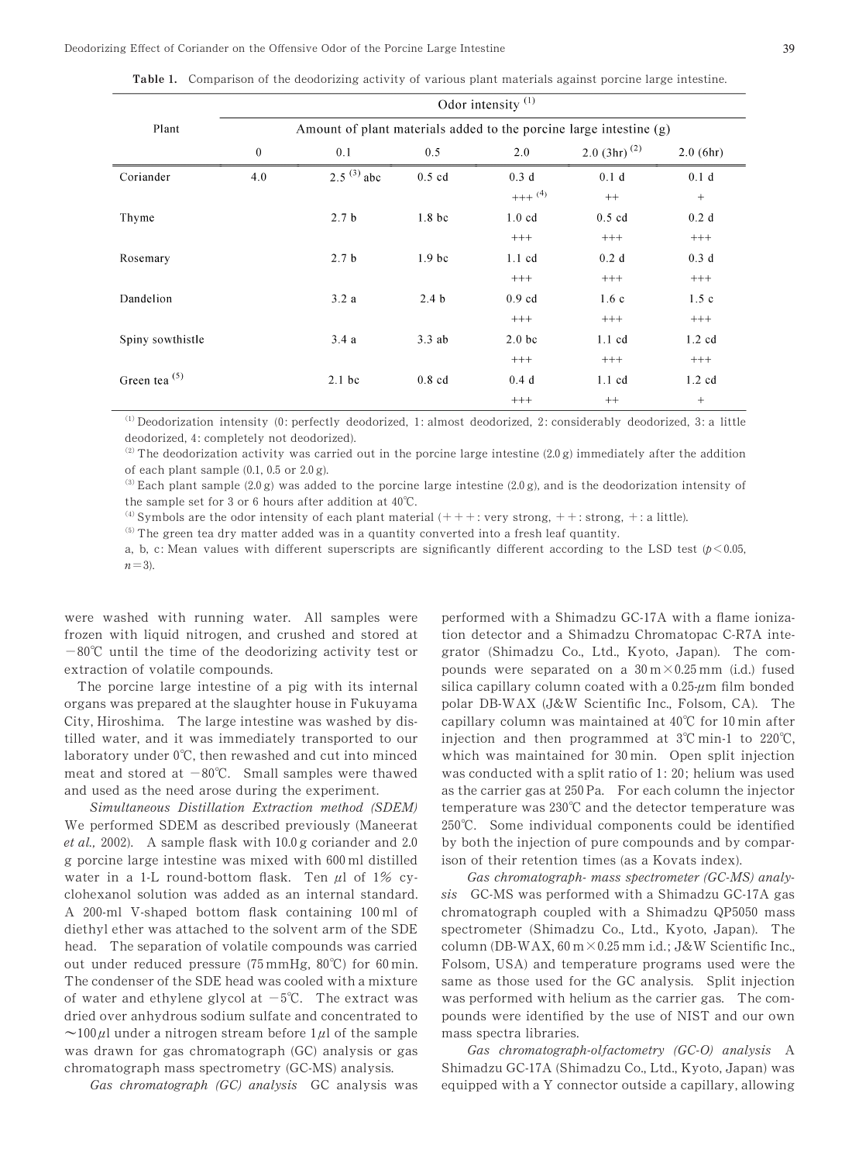|                  | Odor intensity <sup>(1)</sup>                                      |                  |                    |                   |                   |                  |  |  |  |  |
|------------------|--------------------------------------------------------------------|------------------|--------------------|-------------------|-------------------|------------------|--|--|--|--|
| Plant            | Amount of plant materials added to the porcine large intestine (g) |                  |                    |                   |                   |                  |  |  |  |  |
|                  | $\theta$                                                           | 0.1              | 0.5                | 2.0               | 2.0 $(3hr)^{(2)}$ | $2.0$ (6hr)      |  |  |  |  |
| Coriander        | 4.0                                                                | $2.5^{(3)}$ abc  | $0.5$ cd           | 0.3 d             | 0.1 d             | 0.1 <sub>d</sub> |  |  |  |  |
|                  |                                                                    |                  |                    | $+++{}^{(4)}$     | $++$              | $^{+}$           |  |  |  |  |
| Thyme            |                                                                    | 2.7 <sub>b</sub> | 1.8 <sub>b</sub> c | $1.0 \text{ cd}$  | $0.5$ cd          | 0.2 d            |  |  |  |  |
|                  |                                                                    |                  |                    | $^{+++}$          | $^{+++}$          | $^{+++}$         |  |  |  |  |
| Rosemary         |                                                                    | 2.7 <sub>b</sub> | 1.9 <sub>bc</sub>  | $1.1 \text{ cd}$  | 0.2 d             | 0.3 d            |  |  |  |  |
|                  |                                                                    |                  |                    | $^{+++}$          | $^{+++}$          | $^{+++}$         |  |  |  |  |
| Dandelion        |                                                                    | 3.2a             | 2.4 <sub>b</sub>   | $0.9$ cd          | 1.6c              | 1.5c             |  |  |  |  |
|                  |                                                                    |                  |                    | $^{+++}$          | $^{+++}$          | $^{+++}$         |  |  |  |  |
| Spiny sowthistle |                                                                    | 3.4a             | $3.3$ ab           | 2.0 <sub>bc</sub> | $1.1 \text{ cd}$  | $1.2 \text{ cd}$ |  |  |  |  |
|                  |                                                                    |                  |                    | $^{+++}$          | $^{+++}$          | $^{+++}$         |  |  |  |  |
| Green tea (5)    |                                                                    | $2.1$ bc         | $0.8$ cd           | 0.4d              | $1.1 \text{ cd}$  | $1.2 \text{ cd}$ |  |  |  |  |
|                  |                                                                    |                  |                    | $^{+++}$          | $++$              | $+$              |  |  |  |  |

Table 1. Comparison of the deodorizing activity of various plant materials against porcine large intestine.

 $<sup>(1)</sup>$  Deodorization intensity (0: perfectly deodorized, 1: almost deodorized, 2: considerably deodorized, 3: a little</sup> deodorized, 4: completely not deodorized).

<sup>(2)</sup> The deodorization activity was carried out in the porcine large intestine (2.0 g) immediately after the addition of each plant sample  $(0.1, 0.5 \text{ or } 2.0 \text{ g})$ .

<sup>(3)</sup> Each plant sample (2.0 g) was added to the porcine large intestine (2.0 g), and is the deodorization intensity of the sample set for 3 or 6 hours after addition at  $40^{\circ}$ C.

(4) Symbols are the odor intensity of each plant material  $(+++$ : very strong,  $++$ : strong,  $+:$  a little).

 $<sup>(5)</sup>$  The green tea dry matter added was in a quantity converted into a fresh leaf quantity.</sup>

a, b, c: Mean values with different superscripts are significantly different according to the LSD test  $(p<0.05,$  $n=3$ ).

were washed with running water. All samples were frozen with liquid nitrogen, and crushed and stored at  $-80^{\circ}$ C until the time of the deodorizing activity test or extraction of volatile compounds.

The porcine large intestine of a pig with its internal organs was prepared at the slaughter house in Fukuyama City, Hiroshima. The large intestine was washed by distilled water, and it was immediately transported to our laboratory under 0°C, then rewashed and cut into minced meat and stored at  $-80^{\circ}$ C. Small samples were thawed and used as the need arose during the experiment.

Simultaneous Distillation Extraction method (SDEM) We performed SDEM as described previously (Maneerat et al., 2002). A sample flask with  $10.0$  g coriander and 2.0 g porcine large intestine was mixed with 600 ml distilled water in a 1-L round-bottom flask. Ten  $\mu$ l of 1% cyclohexanol solution was added as an internal standard. A 200-ml V-shaped bottom flask containing 100 ml of diethyl ether was attached to the solvent arm of the SDE head. The separation of volatile compounds was carried out under reduced pressure (75 mmHg, 80°C) for 60 min. The condenser of the SDE head was cooled with a mixture of water and ethylene glycol at  $-5^{\circ}$ C. The extract was dried over anhydrous sodium sulfate and concentrated to  $\sim$ 100 $\mu$ l under a nitrogen stream before 1 $\mu$ l of the sample was drawn for gas chromatograph (GC) analysis or gas chromatograph mass spectrometry (GC-MS) analysis.

Gas chromatograph (GC) analysis GC analysis was

performed with a Shimadzu GC-17A with a flame ionization detector and a Shimadzu Chromatopac C-R1A integrator (Shimadzu Co., Ltd., Kyoto, Japan). The compounds were separated on a  $30 \text{ m} \times 0.25 \text{ mm}$  (i.d.) fused silica capillary column coated with a  $0.25 \mu m$  film bonded polar DB-WAX (J&W Scientific Inc., Folsom, CA). The capillary column was maintained at  $40^{\circ}$ C for 10 min after injection and then programmed at  $3^{\circ}$ C min-1 to  $220^{\circ}$ C, which was maintained for  $30 \text{ min}$ . Open split injection was conducted with a split ratio of 1: 20; helium was used as the carrier gas at 250 Pa. For each column the injector temperature was  $230^{\circ}\text{C}$  and the detector temperature was 250°C. Some individual components could be identified by both the injection of pure compounds and by comparison of their retention times (as a Kovats index).

Gas chromatograph- mass spectrometer (GC-MS) analysis GC-MS was performed with a Shimadzu GC-17A gas chromatograph coupled with a Shimadzu  $QP5050$  mass spectrometer (Shimadzu Co., Ltd., Kyoto, Japan). The column (DB-WAX,  $60 \text{ m} \times 0.25 \text{ mm}$  i.d.; J&W Scientific Inc., Folsom, USA) and temperature programs used were the same as those used for the GC analysis. Split injection was performed with helium as the carrier gas. The compounds were identified by the use of NIST and our own mass spectra libraries.

Gas chromatograph-olfactometry (GC-O) analysis A Shimadzu GC-17A (Shimadzu Co., Ltd., Kyoto, Japan) was equipped with a Y connector outside a capillary, allowing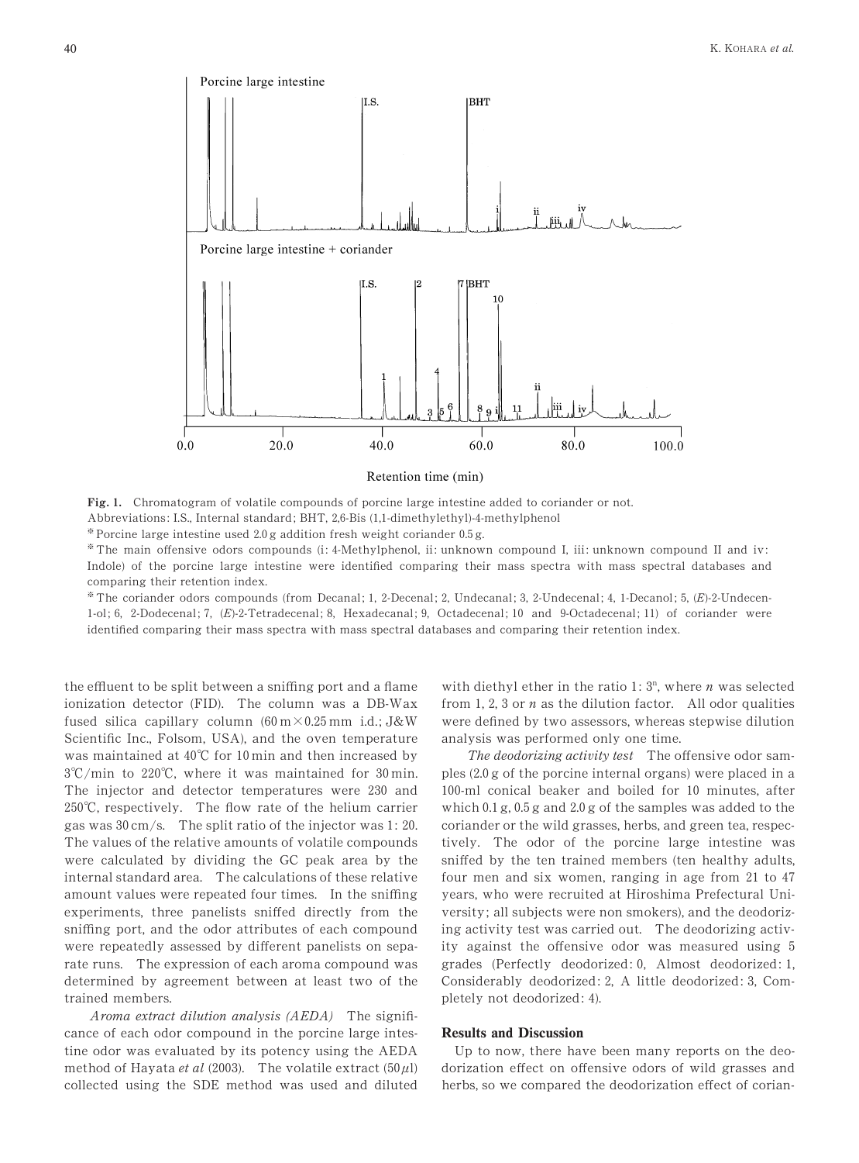

Retention time (min)

Fig. 1. Chromatogram of volatile compounds of porcine large intestine added to coriander or not.

Abbreviations: I.S., Internal standard; BHT, 2,6-Bis (1,1-dimethylethyl)-4-methylphenol

 $*$  Porcine large intestine used 2.0 g addition fresh weight coriander 0.5 g.

\* The main offensive odors compounds (i: 4-Methylphenol, ii: unknown compound I, iii: unknown compound II and iv: Indole) of the porcine large intestine were identified comparing their mass spectra with mass spectral databases and comparing their retention index.

\* The coriander odors compounds (from Decanal; 1, 2-Decenal; 2, Undecanal; 3, 2-Undecenal; 4, 1-Decanol; 5, (E)-2-Undecen- $1-$ ol; 6, 2-Dodecenal; 7,  $(E)$ -2-Tetradecenal; 8, Hexadecanal; 9, Octadecenal; 10 and 9-Octadecenal; 11) of coriander were identified comparing their mass spectra with mass spectral databases and comparing their retention index.

the effluent to be split between a sniffing port and a flame ionization detector (FID). The column was a DB-Wax fused silica capillary column  $(60 \text{ m} \times 0.25 \text{ mm} \text{ i.d.}; J\&W)$ Scientific Inc., Folsom, USA), and the oven temperature was maintained at  $40^{\circ}$ C for 10 min and then increased by 3°C/min to 220°C, where it was maintained for 30 min. The injector and detector temperatures were 230 and 250°C, respectively. The flow rate of the helium carrier gas was  $30 \text{ cm/s}$ . The split ratio of the injector was 1: 20. The values of the relative amounts of volatile compounds were calculated by dividing the GC peak area by the internal standard area. The calculations of these relative amount values were repeated four times. In the sniffing experiments, three panelists sniffed directly from the sniffing port, and the odor attributes of each compound were repeatedly assessed by different panelists on separate runs. The expression of each aroma compound was determined by agreement between at least two of the trained members.

Aroma extract dilution analysis (AEDA) The significance of each odor compound in the porcine large intestine odor was evaluated by its potency using the AEDA method of Hayata et al (2003). The volatile extract (50 $\mu$ l) collected using the SDE method was used and diluted

with diethyl ether in the ratio 1:  $3^n$ , where *n* was selected from 1, 2, 3 or  $n$  as the dilution factor. All odor qualities were defined by two assessors, whereas stepwise dilution analysis was performed only one time.

The deodorizing activity test The offensive odor samples  $(2.0 g$  of the porcine internal organs) were placed in a 100-ml conical beaker and boiled for 10 minutes, after which  $0.1$  g,  $0.5$  g and  $2.0$  g of the samples was added to the coriander or the wild grasses, herbs, and green tea, respectively. The odor of the porcine large intestine was sniffed by the ten trained members (ten healthy adults, four men and six women, ranging in age from  $21$  to  $47$ years, who were recruited at Hiroshima Prefectural University ; all subjects were non smokers), and the deodorizing activity test was carried out. The deodorizing activity against the offensive odor was measured using 5 grades (Perfectly deodorized: 0, Almost deodorized: 1, Considerably deodorized: 2, A little deodorized: 3, Completely not deodorized: 4).

# Results and Discussion

Up to now, there have been many reports on the deodorization effect on offensive odors of wild grasses and herbs, so we compared the deodorization effect of corian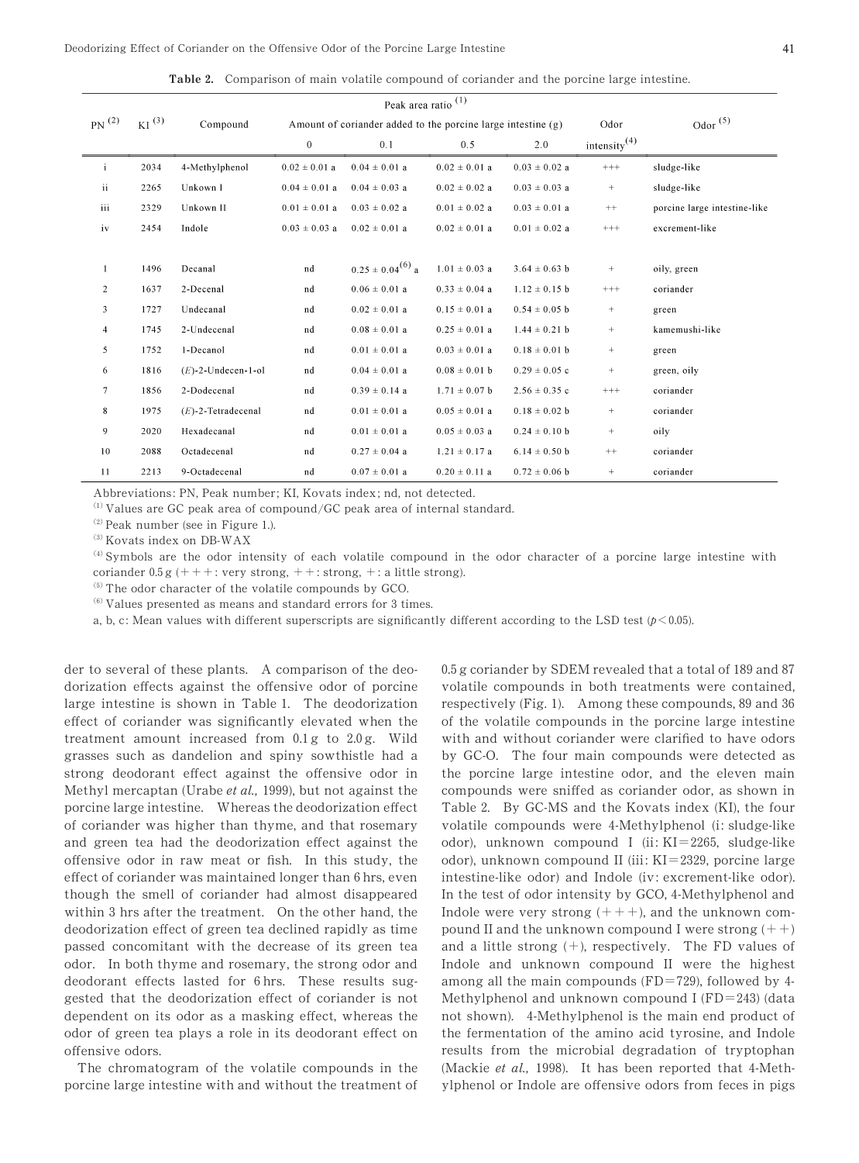Deodorizing Effect of Coriander on the Offensive Odor of the Porcine Large Intestine 41

Table 2. Comparison of main volatile compound of coriander and the porcine large intestine.

| PN <sup>(2)</sup><br>$KI^{(3)}$ |      | Compound              | Amount of coriander added to the porcine large intestine (g) |                         |                   |                   | Odor            | Odor $(5)$                   |
|---------------------------------|------|-----------------------|--------------------------------------------------------------|-------------------------|-------------------|-------------------|-----------------|------------------------------|
|                                 |      |                       | $\mathbf{0}$                                                 | 0.1                     | 0.5               | 2.0               | intensity $(4)$ |                              |
| i                               | 2034 | 4-Methylphenol        | $0.02 \pm 0.01$ a                                            | $0.04 \pm 0.01$ a       | $0.02 \pm 0.01$ a | $0.03 \pm 0.02$ a | $++++$          | sludge-like                  |
| ii                              | 2265 | Unkown I              | $0.04 \pm 0.01$ a                                            | $0.04 \pm 0.03$ a       | $0.02 \pm 0.02$ a | $0.03 \pm 0.03$ a | $+$             | sludge-like                  |
| iii                             | 2329 | Unkown II             | $0.01 \pm 0.01$ a                                            | $0.03 \pm 0.02$ a       | $0.01 \pm 0.02$ a | $0.03 \pm 0.01$ a | $++$            | porcine large intestine-like |
| iv                              | 2454 | Indole                | $0.03 \pm 0.03$ a                                            | $0.02 \pm 0.01$ a       | $0.02 \pm 0.01$ a | $0.01 \pm 0.02$ a | $^{+++}$        | excrement-like               |
|                                 |      |                       |                                                              |                         |                   |                   |                 |                              |
|                                 | 1496 | Decanal               | nd                                                           | $0.25 \pm 0.04^{(6)}$ a | $1.01 \pm 0.03$ a | $3.64 \pm 0.63$ b | $\! + \!\!\!\!$ | oily, green                  |
| $\overline{c}$                  | 1637 | 2-Decenal             | nd                                                           | $0.06 \pm 0.01$ a       | $0.33 \pm 0.04$ a | $1.12 \pm 0.15$ b | $++++$          | coriander                    |
| 3                               | 1727 | Undecanal             | nd                                                           | $0.02 \pm 0.01$ a       | $0.15 \pm 0.01$ a | $0.54 \pm 0.05$ b | $\! + \!\!\!\!$ | green                        |
| 4                               | 1745 | 2-Undecenal           | nd                                                           | $0.08 \pm 0.01$ a       | $0.25 \pm 0.01$ a | $1.44 \pm 0.21$ b | $+$             | kamemushi-like               |
| 5                               | 1752 | 1-Decanol             | nd                                                           | $0.01 \pm 0.01$ a       | $0.03 \pm 0.01$ a | $0.18 \pm 0.01$ b | $\! + \!\!\!\!$ | green                        |
| 6                               | 1816 | $(E)$ -2-Undecen-1-ol | nd                                                           | $0.04 \pm 0.01$ a       | $0.08 \pm 0.01$ b | $0.29 \pm 0.05$ c | $+$             | green, oily                  |
| $\tau$                          | 1856 | 2-Dodecenal           | nd                                                           | $0.39 \pm 0.14$ a       | $1.71 \pm 0.07$ b | $2.56 \pm 0.35$ c | $^{+++}$        | coriander                    |
| 8                               | 1975 | $(E)$ -2-Tetradecenal | nd                                                           | $0.01 \pm 0.01$ a       | $0.05 \pm 0.01$ a | $0.18 \pm 0.02$ b | $^+$            | coriander                    |
| 9                               | 2020 | Hexadecanal           | nd                                                           | $0.01 \pm 0.01$ a       | $0.05 \pm 0.03$ a | $0.24 \pm 0.10$ b | $+$             | oily                         |
| 10                              | 2088 | Octadecenal           | nd                                                           | $0.27 \pm 0.04$ a       | $1.21 \pm 0.17$ a | $6.14 \pm 0.50$ b | $++$            | coriander                    |
| 11                              | 2213 | 9-Octadecenal         | nd                                                           | $0.07 \pm 0.01$ a       | $0.20 \pm 0.11$ a | $0.72 \pm 0.06$ b | $+$             | coriander                    |

Abbreviations: PN, Peak number; KI, Kovats index; nd, not detected.

 $^{(1)}$  Values are GC peak area of compound/GC peak area of internal standard.

 $(2)$  Peak number (see in Figure 1.).

 $^{(3)}$  Kovats index on DB-WAX

 $^{(4)}$  Symbols are the odor intensity of each volatile compound in the odor character of a porcine large intestine with

coriander  $0.5 g$  (+ + + : very strong, + + : strong, + : a little strong).

<sup>(5)</sup> The odor character of the volatile compounds by GCO.

 $<sup>(6)</sup>$  Values presented as means and standard errors for 3 times.</sup>

a, b, c: Mean values with different superscripts are significantly different according to the LSD test ( $p$ <0.05).

der to several of these plants. A comparison of the deodorization effects against the offensive odor of porcine large intestine is shown in Table 1. The deodorization effect of coriander was significantly elevated when the treatment amount increased from  $0.1\,\mathrm{g}$  to  $2.0\,\mathrm{g}$ . Wild grasses such as dandelion and spiny sowthistle had a strong deodorant effect against the offensive odor in Methyl mercaptan (Urabe *et al.*, 1999), but not against the porcine large intestine. Whereas the deodorization effect of coriander was higher than thyme, and that rosemary and green tea had the deodorization effect against the offensive odor in raw meat or fish. In this study, the effect of coriander was maintained longer than 6 hrs, even though the smell of coriander had almost disappeared within 3 hrs after the treatment. On the other hand, the deodorization effect of green tea declined rapidly as time passed concomitant with the decrease of its green tea odor. In both thyme and rosemary, the strong odor and deodorant effects lasted for 6 hrs. These results suggested that the deodorization effect of coriander is not dependent on its odor as a masking effect, whereas the odor of green tea plays a role in its deodorant effect on offensive odors.

The chromatogram of the volatile compounds in the porcine large intestine with and without the treatment of  $0.5$  g coriander by SDEM revealed that a total of 189 and 87 volatile compounds in both treatments were contained, respectively (Fig. 1). Among these compounds, 89 and 36 of the volatile compounds in the porcine large intestine with and without coriander were clarified to have odors by GC-O. The four main compounds were detected as the porcine large intestine odor, and the eleven main compounds were sniffed as coriander odor, as shown in Table 2. By GC-MS and the Kovats index (KI), the four volatile compounds were 4-Methylphenol (i: sludge-like odor), unknown compound I (ii:  $KI = 2265$ , sludge-like odor), unknown compound II (iii: KI=2329, porcine large intestine-like odor) and Indole (iv: excrement-like odor). In the test of odor intensity by GCO, 4-Methylphenol and Indole were very strong  $(++)$ , and the unknown compound II and the unknown compound I were strong  $(++)$ and a little strong  $(+)$ , respectively. The FD values of Indole and unknown compound II were the highest among all the main compounds (FD=729), followed by 4-Methylphenol and unknown compound I (FD=243) (data not shown). 4-Methylphenol is the main end product of the fermentation of the amino acid tyrosine, and Indole results from the microbial degradation of tryptophan (Mackie et al., 1998). It has been reported that 4-Methylphenol or Indole are offensive odors from feces in pigs